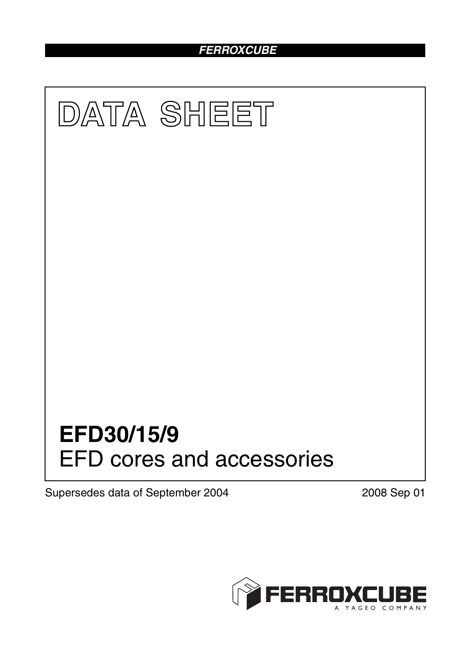# *FERROXCUBE*



Supersedes data of September 2004 2008 Sep 01

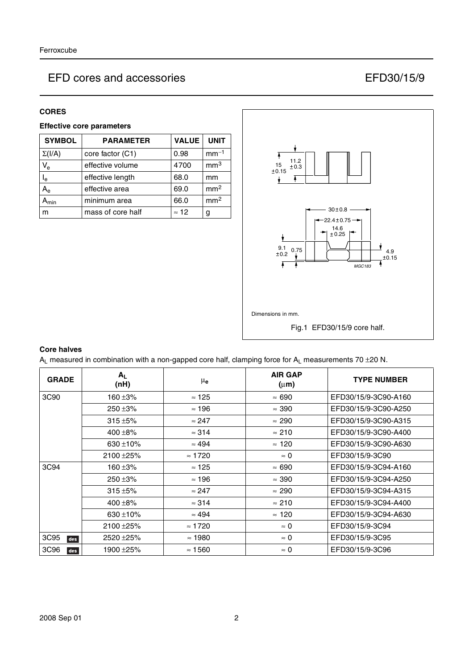### **CORES**

## **Effective core parameters**

| <b>SYMBOL</b> | <b>PARAMETER</b>  | <b>VALUE</b> | <b>UNIT</b>     |
|---------------|-------------------|--------------|-----------------|
| $\Sigma(I/A)$ | core factor (C1)  | 0.98         | $mm-1$          |
| $V_{e}$       | effective volume  | 4700         | mm <sup>3</sup> |
| $I_e$         | effective length  | 68.0         | mm              |
| $A_{\rm e}$   | effective area    | 69.0         | mm <sup>2</sup> |
| min           | minimum area      | 66.0         | mm <sup>2</sup> |
| m             | mass of core half | $\approx$ 12 | g               |



#### **Core halves**

 $A_L$  measured in combination with a non-gapped core half, clamping force for  $A_L$  measurements 70 ±20 N.

| <b>GRADE</b> | Αı<br>(nH)    | μ <sub>e</sub> | <b>AIR GAP</b><br>$(\mu m)$ | <b>TYPE NUMBER</b>   |
|--------------|---------------|----------------|-----------------------------|----------------------|
| 3C90         | 160 ±3%       | $\approx$ 125  | $\approx 690$               | EFD30/15/9-3C90-A160 |
|              | $250 + 3%$    | $\approx$ 196  | $\approx 390$               | EFD30/15/9-3C90-A250 |
|              | $315 + 5%$    | $\approx$ 247  | $\approx 290$               | EFD30/15/9-3C90-A315 |
|              | 400 $\pm$ 8%  | $\approx$ 314  | $\approx 210$               | EFD30/15/9-3C90-A400 |
|              | 630 $\pm$ 10% | $\approx 494$  | $\approx$ 120               | EFD30/15/9-3C90-A630 |
|              | 2100 ± 25%    | $\approx$ 1720 | $\approx 0$                 | EFD30/15/9-3C90      |
| 3C94         | 160 $\pm$ 3%  | $\approx$ 125  | $\approx 690$               | EFD30/15/9-3C94-A160 |
|              | $250 + 3%$    | $\approx$ 196  | $\approx 390$               | EFD30/15/9-3C94-A250 |
|              | $315 + 5%$    | $\approx$ 247  | $\approx 290$               | EFD30/15/9-3C94-A315 |
|              | 400 $\pm$ 8%  | $\approx$ 314  | $\approx 210$               | EFD30/15/9-3C94-A400 |
|              | 630 $\pm$ 10% | $\approx 494$  | $\approx$ 120               | EFD30/15/9-3C94-A630 |
|              | $2100 + 25%$  | $\approx$ 1720 | $\approx 0$                 | EFD30/15/9-3C94      |
| 3C95<br>des  | 2520 ± 25%    | $\approx$ 1980 | $\approx 0$                 | EFD30/15/9-3C95      |
| 3C96<br>des  | 1900 ± 25%    | $\approx$ 1560 | $\approx 0$                 | EFD30/15/9-3C96      |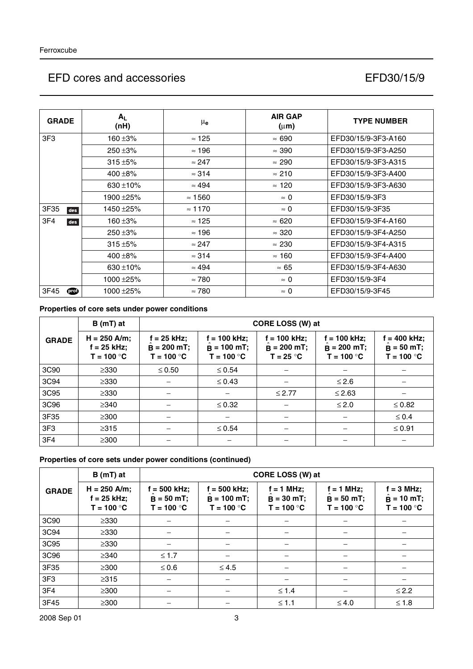| <b>GRADE</b> | $A_L$<br>(nH) | $\mu_{\mathbf{e}}$ | <b>AIR GAP</b><br>$(\mu m)$ | <b>TYPE NUMBER</b>  |
|--------------|---------------|--------------------|-----------------------------|---------------------|
| 3F3          | 160 ±3%       | $\approx$ 125      | $\approx 690$               | EFD30/15/9-3F3-A160 |
|              | $250 + 3%$    | $\approx$ 196      | $\approx 390$               | EFD30/15/9-3F3-A250 |
|              | $315 + 5%$    | $\approx$ 247      | $\approx 290$               | EFD30/15/9-3F3-A315 |
|              | 400 $\pm$ 8%  | $\approx$ 314      | $\approx 210$               | EFD30/15/9-3F3-A400 |
|              | 630 $\pm$ 10% | $\approx 494$      | $\approx$ 120               | EFD30/15/9-3F3-A630 |
|              | 1900 ±25%     | $\approx 1560$     | $\approx 0$                 | EFD30/15/9-3F3      |
| 3F35<br>des  | 1450 ±25%     | $\approx$ 1170     | $\approx 0$                 | EFD30/15/9-3F35     |
| 3F4<br>des   | 160 ±3%       | $\approx$ 125      | $\approx 620$               | EFD30/15/9-3F4-A160 |
|              | $250 + 3%$    | $\approx 196$      | $\approx 320$               | EFD30/15/9-3F4-A250 |
|              | $315 + 5%$    | $\approx$ 247      | $\approx 230$               | EFD30/15/9-3F4-A315 |
|              | 400 $\pm$ 8%  | $\approx$ 314      | $\approx$ 160               | EFD30/15/9-3F4-A400 |
|              | 630 $\pm$ 10% | $\approx 494$      | $\approx 65$                | EFD30/15/9-3F4-A630 |
|              | 1000 ±25%     | $\approx 780$      | $\approx 0$                 | EFD30/15/9-3F4      |
| 3F45<br>00   | 1000 ±25%     | $\approx 780$      | $\approx 0$                 | EFD30/15/9-3F45     |

## **Properties of core sets under power conditions**

|                 | $B(mT)$ at                                      | CORE LOSS (W) at                               |                                                 |                                                |                                                 |                                                        |
|-----------------|-------------------------------------------------|------------------------------------------------|-------------------------------------------------|------------------------------------------------|-------------------------------------------------|--------------------------------------------------------|
| <b>GRADE</b>    | $H = 250$ A/m;<br>$f = 25$ kHz;<br>$T = 100 °C$ | $f = 25$ kHz;<br>$B = 200$ mT;<br>$T = 100 °C$ | $f = 100$ kHz;<br>$B = 100$ mT;<br>$T = 100 °C$ | $f = 100$ kHz;<br>$B = 200$ mT;<br>$T = 25 °C$ | $f = 100$ kHz;<br>$B = 200$ mT;<br>$T = 100 °C$ | $f = 400$ kHz;<br>$B = 50$ mT;<br>T = 100 $^{\circ}$ C |
| 3C90            | $\geq$ 330                                      | $\leq 0.50$                                    | $\leq 0.54$                                     |                                                |                                                 |                                                        |
| 3C94            | $\geq$ 330                                      |                                                | $\leq 0.43$                                     |                                                | $≤ 2.6$                                         |                                                        |
| 3C95            | $\geq$ 330                                      |                                                |                                                 | $≤ 2.77$                                       | $≤2.63$                                         |                                                        |
| 3C96            | $\geq$ 340                                      |                                                | $\leq 0.32$                                     |                                                | $\leq 2.0$                                      | $\leq 0.82$                                            |
| 3F35            | $\geq 300$                                      |                                                |                                                 |                                                |                                                 | $\leq 0.4$                                             |
| 3F <sub>3</sub> | $\geq 315$                                      |                                                | $\leq 0.54$                                     |                                                |                                                 | $\leq 0.91$                                            |
| 3F4             | $\geq 300$                                      |                                                |                                                 |                                                |                                                 |                                                        |

## **Properties of core sets under power conditions (continued)**

|                 | $B(mT)$ at                                      | CORE LOSS (W) at                                |                                                  |                                               |                                              |                                                     |  |
|-----------------|-------------------------------------------------|-------------------------------------------------|--------------------------------------------------|-----------------------------------------------|----------------------------------------------|-----------------------------------------------------|--|
| <b>GRADE</b>    | $H = 250$ A/m;<br>$f = 25$ kHz;<br>$T = 100 °C$ | $f = 500$ kHz;<br>$B = 50 mT$ ;<br>$T = 100 °C$ | $f = 500$ kHz;<br>$B = 100 mT$ ;<br>$T = 100 °C$ | $f = 1$ MHz;<br>$B = 30 mT$ ;<br>$T = 100 °C$ | $f = 1$ MHz;<br>$B = 50$ mT;<br>$T = 100 °C$ | $f = 3 MHz$ ;<br>$\hat{B} = 10$ mT;<br>$T = 100 °C$ |  |
| 3C90            | $\geq$ 330                                      |                                                 |                                                  |                                               |                                              |                                                     |  |
| 3C94            | $\geq$ 330                                      |                                                 |                                                  |                                               |                                              |                                                     |  |
| 3C95            | $\geq$ 330                                      |                                                 |                                                  |                                               |                                              |                                                     |  |
| 3C96            | $\geq$ 340                                      | $≤ 1.7$                                         |                                                  |                                               |                                              |                                                     |  |
| 3F35            | $\geq 300$                                      | $\leq 0.6$                                      | $\leq 4.5$                                       |                                               |                                              |                                                     |  |
| 3F <sub>3</sub> | $\geq 315$                                      |                                                 |                                                  |                                               |                                              |                                                     |  |
| 3F4             | $\geq$ 300                                      | $\overline{\phantom{m}}$                        |                                                  | $\leq 1.4$                                    |                                              | $\leq$ 2.2                                          |  |
| 3F45            | $\geq 300$                                      |                                                 |                                                  | $≤ 1.1$                                       | $\leq 4.0$                                   | $≤ 1.8$                                             |  |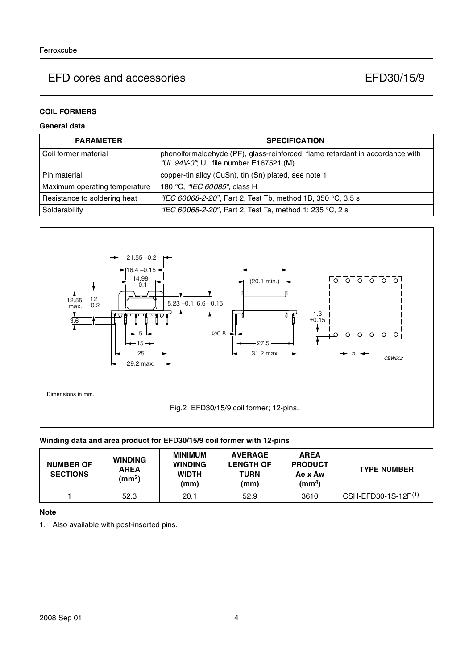### **COIL FORMERS**

### **General data**

| <b>PARAMETER</b>              | <b>SPECIFICATION</b>                                                                                                    |
|-------------------------------|-------------------------------------------------------------------------------------------------------------------------|
| Coil former material          | phenolformaldehyde (PF), glass-reinforced, flame retardant in accordance with<br>"UL 94V-0"; UL file number E167521 (M) |
| Pin material                  | copper-tin alloy (CuSn), tin (Sn) plated, see note 1                                                                    |
| Maximum operating temperature | 180 °C, "IEC 60085", class H                                                                                            |
| Resistance to soldering heat  | "IEC 60068-2-20", Part 2, Test Tb, method 1B, 350 °C, 3.5 s                                                             |
| Solderability                 | "IEC 60068-2-20", Part 2, Test Ta, method 1: 235 °C, 2 s                                                                |



## **Winding data and area product for EFD30/15/9 coil former with 12-pins**

| <b>NUMBER OF</b><br><b>SECTIONS</b> | <b>WINDING</b><br><b>AREA</b><br>(mm <sup>2</sup> ) | <b>MINIMUM</b><br><b>WINDING</b><br><b>WIDTH</b><br>(mm) | <b>AVERAGE</b><br><b>LENGTH OF</b><br>TURN<br>(mm) | <b>AREA</b><br><b>PRODUCT</b><br>Ae x Aw<br>(mm <sup>4</sup> ) | <b>TYPE NUMBER</b>    |
|-------------------------------------|-----------------------------------------------------|----------------------------------------------------------|----------------------------------------------------|----------------------------------------------------------------|-----------------------|
|                                     | 52.3                                                | 20.1                                                     | 52.9                                               | 3610                                                           | $CSH-EFD30-1S-12P(1)$ |

#### **Note**

1. Also available with post-inserted pins.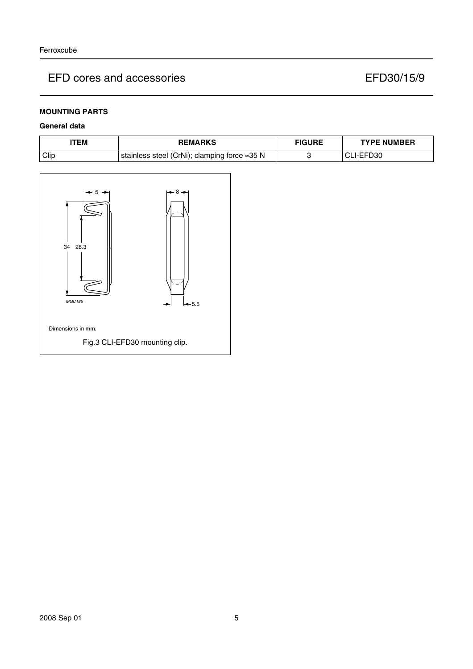## **MOUNTING PARTS**

### **General data**

| <b>ITEM</b> | <b>REMARKS</b>                               |  | <b>TYPE NUMBER</b> |
|-------------|----------------------------------------------|--|--------------------|
| Clip        | stainless steel (CrNi); clamping force ≈35 N |  | CLI-EFD30          |